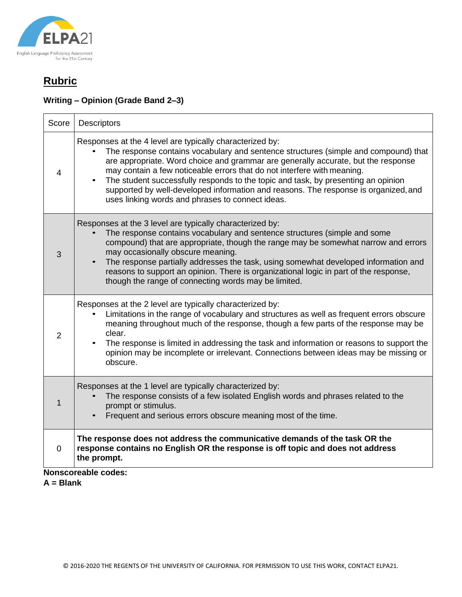

# **Rubric**

### **Writing – Opinion (Grade Band 2–3)**

| Score               | Descriptors                                                                                                                                                                                                                                                                                                                                                                                                                                                                                                                                     |  |
|---------------------|-------------------------------------------------------------------------------------------------------------------------------------------------------------------------------------------------------------------------------------------------------------------------------------------------------------------------------------------------------------------------------------------------------------------------------------------------------------------------------------------------------------------------------------------------|--|
| 4                   | Responses at the 4 level are typically characterized by:<br>The response contains vocabulary and sentence structures (simple and compound) that<br>are appropriate. Word choice and grammar are generally accurate, but the response<br>may contain a few noticeable errors that do not interfere with meaning.<br>The student successfully responds to the topic and task, by presenting an opinion<br>supported by well-developed information and reasons. The response is organized, and<br>uses linking words and phrases to connect ideas. |  |
| 3                   | Responses at the 3 level are typically characterized by:<br>The response contains vocabulary and sentence structures (simple and some<br>compound) that are appropriate, though the range may be somewhat narrow and errors<br>may occasionally obscure meaning.<br>The response partially addresses the task, using somewhat developed information and<br>reasons to support an opinion. There is organizational logic in part of the response,<br>though the range of connecting words may be limited.                                        |  |
| 2                   | Responses at the 2 level are typically characterized by:<br>Limitations in the range of vocabulary and structures as well as frequent errors obscure<br>meaning throughout much of the response, though a few parts of the response may be<br>clear.<br>The response is limited in addressing the task and information or reasons to support the<br>opinion may be incomplete or irrelevant. Connections between ideas may be missing or<br>obscure.                                                                                            |  |
| 1                   | Responses at the 1 level are typically characterized by:<br>The response consists of a few isolated English words and phrases related to the<br>prompt or stimulus.<br>Frequent and serious errors obscure meaning most of the time.                                                                                                                                                                                                                                                                                                            |  |
| $\Omega$            | The response does not address the communicative demands of the task OR the<br>response contains no English OR the response is off topic and does not address<br>the prompt.                                                                                                                                                                                                                                                                                                                                                                     |  |
| Nancoorooblo oodoou |                                                                                                                                                                                                                                                                                                                                                                                                                                                                                                                                                 |  |

**Nonscoreable codes:**

**A = Blank**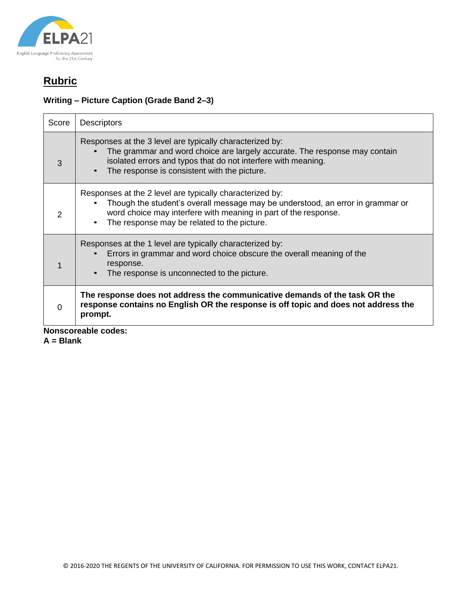

# **Rubric**

### **Writing – Picture Caption (Grade Band 2–3)**

| Score         | <b>Descriptors</b>                                                                                                                                                                                                                                           |
|---------------|--------------------------------------------------------------------------------------------------------------------------------------------------------------------------------------------------------------------------------------------------------------|
| 3             | Responses at the 3 level are typically characterized by:<br>The grammar and word choice are largely accurate. The response may contain<br>isolated errors and typos that do not interfere with meaning.<br>The response is consistent with the picture.      |
| $\mathcal{P}$ | Responses at the 2 level are typically characterized by:<br>Though the student's overall message may be understood, an error in grammar or<br>word choice may interfere with meaning in part of the response.<br>The response may be related to the picture. |
| 1             | Responses at the 1 level are typically characterized by:<br>Errors in grammar and word choice obscure the overall meaning of the<br>response.<br>The response is unconnected to the picture.                                                                 |
| O             | The response does not address the communicative demands of the task OR the<br>response contains no English OR the response is off topic and does not address the<br>prompt.<br>والمتواط والماري                                                              |

**Nonscoreable codes:**

**A = Blank**